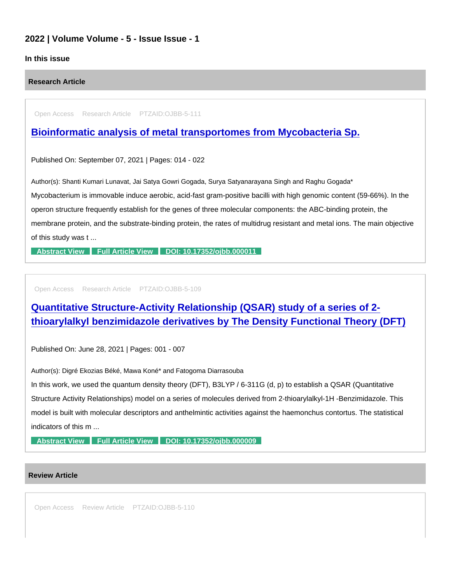## 2022 | Volume Volume - 5 - Issue Issue - 1

## In this issue

Research Article

Open Access Research Article PTZAID:OJBB-5-111

[Bioinformatic analysis of metal transportomes from Mycobacteria Sp.](https://www.peertechzpublications.com/articles/bioinformatic-analysis-of-metal-transportomes-from-mycobacteria-sp)

Published On: September 07, 2021 | Pages: 014 - 022

Author(s): Shanti Kumari Lunavat, Jai Satya Gowri Gogada, Surya Satyanarayana Singh and Raghu Gogada\* Mycobacterium is immovable induce aerobic, acid-fast gram-positive bacilli with high genomic content (59-66%). In the operon structure frequently establish for the genes of three molecular components: the ABC-binding protein, the membrane protein, and the substrate-binding protein, the rates of multidrug resistant and metal ions. The main objective of this study was t ...

[Abstract View](https://www.peertechzpublications.com/abstracts/bioinformatic-analysis-of-metal-transportomes-from-mycobacteria-sp) [Full Article View](https://www.peertechzpublications.com/articles/bioinformatic-analysis-of-metal-transportomes-from-mycobacteria-sp) [DOI: 10.17352/ojbb.000011](http://dx.doi.org/10.17352/ojbb.000011)

Open Access Research Article PTZAID:OJBB-5-109

[Quantitative Structure-Activity Relationship \(QSAR\) study of a series of 2](https://www.peertechzpublications.com/articles/quantitative-structure-activity-relationship-qsar-study-of-a-series-of-2-thioarylalkyl-benzimidazole-derivatives-by-the-density-functional-theory-dft) thioarylalkyl benzimidazole derivatives by The Density Functional Theory (DFT)

Published On: June 28, 2021 | Pages: 001 - 007

Author(s): Digré Ekozias Béké, Mawa Koné\* and Fatogoma Diarrasouba

In this work, we used the quantum density theory (DFT), B3LYP / 6-311G (d, p) to establish a QSAR (Quantitative Structure Activity Relationships) model on a series of molecules derived from 2-thioarylalkyl-1H -Benzimidazole. This model is built with molecular descriptors and anthelmintic activities against the haemonchus contortus. The statistical indicators of this m ...

[Abstract View](https://www.peertechzpublications.com/abstracts/quantitative-structure-activity-relationship-qsar-study-of-a-series-of-2-thioarylalkyl-benzimidazole-derivatives-by-the-density-functional-theory-dft) [Full Article View](https://www.peertechzpublications.com/articles/quantitative-structure-activity-relationship-qsar-study-of-a-series-of-2-thioarylalkyl-benzimidazole-derivatives-by-the-density-functional-theory-dft) DOI: 10.17352/oibb.000009

## Review Article